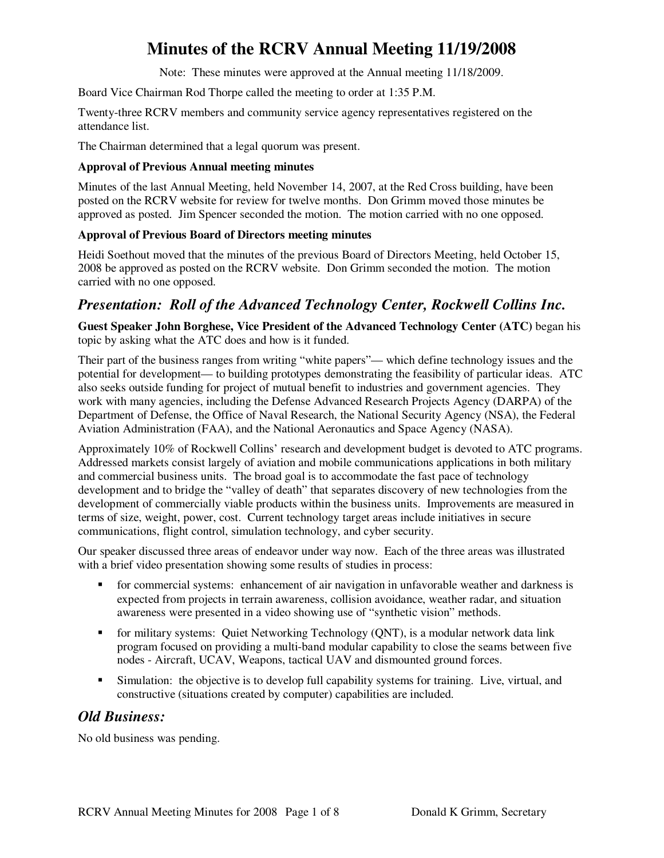Note: These minutes were approved at the Annual meeting 11/18/2009.

Board Vice Chairman Rod Thorpe called the meeting to order at 1:35 P.M.

Twenty-three RCRV members and community service agency representatives registered on the attendance list.

The Chairman determined that a legal quorum was present.

### **Approval of Previous Annual meeting minutes**

Minutes of the last Annual Meeting, held November 14, 2007, at the Red Cross building, have been posted on the RCRV website for review for twelve months. Don Grimm moved those minutes be approved as posted. Jim Spencer seconded the motion. The motion carried with no one opposed.

### **Approval of Previous Board of Directors meeting minutes**

Heidi Soethout moved that the minutes of the previous Board of Directors Meeting, held October 15, 2008 be approved as posted on the RCRV website. Don Grimm seconded the motion. The motion carried with no one opposed.

### *Presentation: Roll of the Advanced Technology Center, Rockwell Collins Inc.*

**Guest Speaker John Borghese, Vice President of the Advanced Technology Center (ATC)** began his topic by asking what the ATC does and how is it funded.

Their part of the business ranges from writing "white papers"— which define technology issues and the potential for development— to building prototypes demonstrating the feasibility of particular ideas. ATC also seeks outside funding for project of mutual benefit to industries and government agencies. They work with many agencies, including the Defense Advanced Research Projects Agency (DARPA) of the Department of Defense, the Office of Naval Research, the National Security Agency (NSA), the Federal Aviation Administration (FAA), and the National Aeronautics and Space Agency (NASA).

Approximately 10% of Rockwell Collins' research and development budget is devoted to ATC programs. Addressed markets consist largely of aviation and mobile communications applications in both military and commercial business units. The broad goal is to accommodate the fast pace of technology development and to bridge the "valley of death" that separates discovery of new technologies from the development of commercially viable products within the business units. Improvements are measured in terms of size, weight, power, cost. Current technology target areas include initiatives in secure communications, flight control, simulation technology, and cyber security.

Our speaker discussed three areas of endeavor under way now. Each of the three areas was illustrated with a brief video presentation showing some results of studies in process:

- for commercial systems: enhancement of air navigation in unfavorable weather and darkness is expected from projects in terrain awareness, collision avoidance, weather radar, and situation awareness were presented in a video showing use of "synthetic vision" methods.
- **Formilitary systems:** Quiet Networking Technology (QNT), is a modular network data link program focused on providing a multi-band modular capability to close the seams between five nodes - Aircraft, UCAV, Weapons, tactical UAV and dismounted ground forces.
- Simulation: the objective is to develop full capability systems for training. Live, virtual, and constructive (situations created by computer) capabilities are included.

### *Old Business:*

No old business was pending.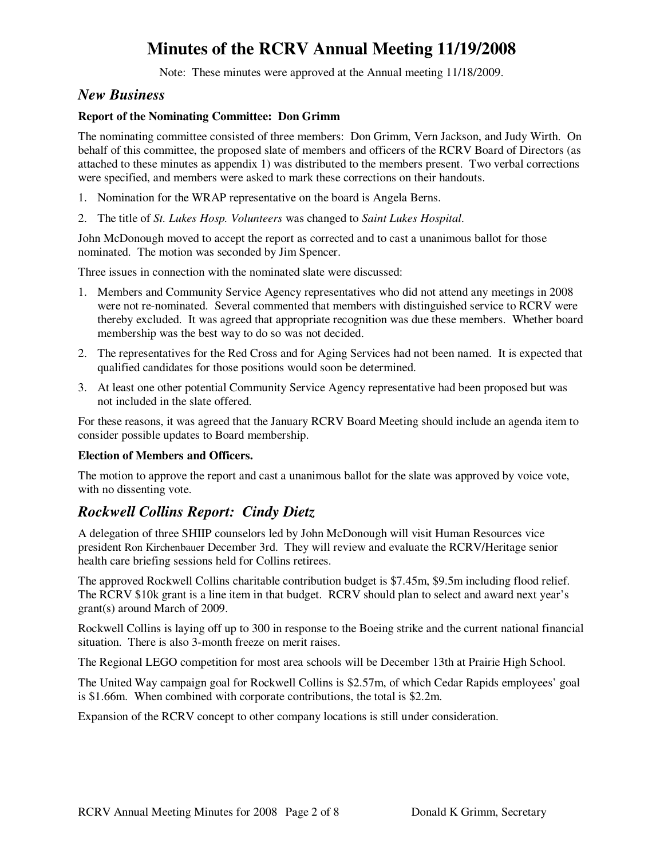Note: These minutes were approved at the Annual meeting 11/18/2009.

### *New Business*

### **Report of the Nominating Committee: Don Grimm**

The nominating committee consisted of three members: Don Grimm, Vern Jackson, and Judy Wirth. On behalf of this committee, the proposed slate of members and officers of the RCRV Board of Directors (as attached to these minutes as appendix 1) was distributed to the members present. Two verbal corrections were specified, and members were asked to mark these corrections on their handouts.

- 1. Nomination for the WRAP representative on the board is Angela Berns.
- 2. The title of *St. Lukes Hosp. Volunteers* was changed to *Saint Lukes Hospital*.

John McDonough moved to accept the report as corrected and to cast a unanimous ballot for those nominated. The motion was seconded by Jim Spencer.

Three issues in connection with the nominated slate were discussed:

- 1. Members and Community Service Agency representatives who did not attend any meetings in 2008 were not re-nominated. Several commented that members with distinguished service to RCRV were thereby excluded. It was agreed that appropriate recognition was due these members. Whether board membership was the best way to do so was not decided.
- 2. The representatives for the Red Cross and for Aging Services had not been named. It is expected that qualified candidates for those positions would soon be determined.
- 3. At least one other potential Community Service Agency representative had been proposed but was not included in the slate offered.

For these reasons, it was agreed that the January RCRV Board Meeting should include an agenda item to consider possible updates to Board membership.

### **Election of Members and Officers.**

The motion to approve the report and cast a unanimous ballot for the slate was approved by voice vote, with no dissenting vote.

### *Rockwell Collins Report: Cindy Dietz*

A delegation of three SHIIP counselors led by John McDonough will visit Human Resources vice president Ron Kirchenbauer December 3rd. They will review and evaluate the RCRV/Heritage senior health care briefing sessions held for Collins retirees.

The approved Rockwell Collins charitable contribution budget is \$7.45m, \$9.5m including flood relief. The RCRV \$10k grant is a line item in that budget. RCRV should plan to select and award next year's grant(s) around March of 2009.

Rockwell Collins is laying off up to 300 in response to the Boeing strike and the current national financial situation. There is also 3-month freeze on merit raises.

The Regional LEGO competition for most area schools will be December 13th at Prairie High School.

The United Way campaign goal for Rockwell Collins is \$2.57m, of which Cedar Rapids employees' goal is \$1.66m. When combined with corporate contributions, the total is \$2.2m.

Expansion of the RCRV concept to other company locations is still under consideration.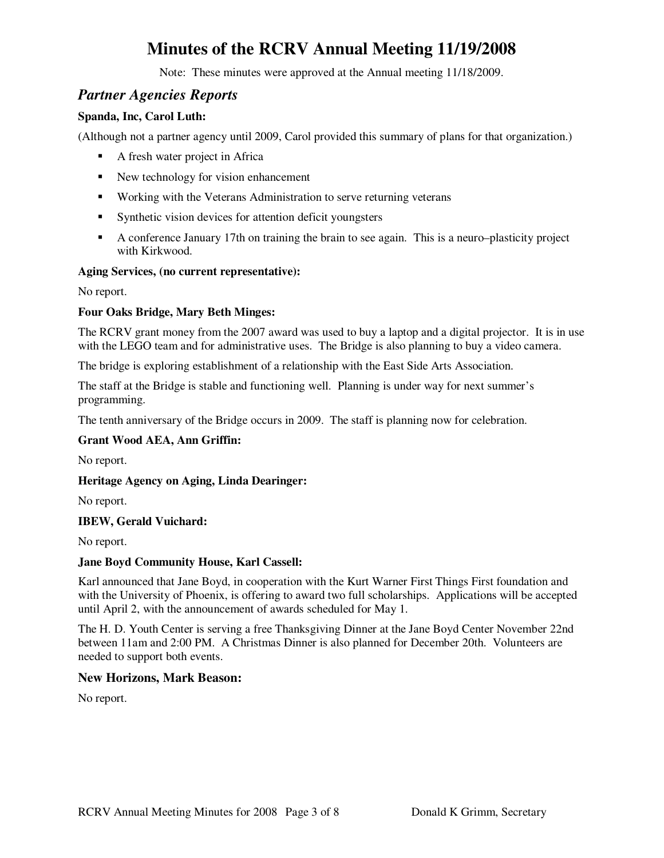Note: These minutes were approved at the Annual meeting 11/18/2009.

### *Partner Agencies Reports*

### **Spanda, Inc, Carol Luth:**

(Although not a partner agency until 2009, Carol provided this summary of plans for that organization.)

- A fresh water project in Africa
- New technology for vision enhancement
- **Working with the Veterans Administration to serve returning veterans**
- Synthetic vision devices for attention deficit youngsters
- A conference January 17th on training the brain to see again. This is a neuro–plasticity project with Kirkwood.

### **Aging Services, (no current representative):**

No report.

### **Four Oaks Bridge, Mary Beth Minges:**

The RCRV grant money from the 2007 award was used to buy a laptop and a digital projector. It is in use with the LEGO team and for administrative uses. The Bridge is also planning to buy a video camera.

The bridge is exploring establishment of a relationship with the East Side Arts Association.

The staff at the Bridge is stable and functioning well. Planning is under way for next summer's programming.

The tenth anniversary of the Bridge occurs in 2009. The staff is planning now for celebration.

### **Grant Wood AEA, Ann Griffin:**

No report.

**Heritage Agency on Aging, Linda Dearinger:** 

No report.

### **IBEW, Gerald Vuichard:**

No report.

### **Jane Boyd Community House, Karl Cassell:**

Karl announced that Jane Boyd, in cooperation with the Kurt Warner First Things First foundation and with the University of Phoenix, is offering to award two full scholarships. Applications will be accepted until April 2, with the announcement of awards scheduled for May 1.

The H. D. Youth Center is serving a free Thanksgiving Dinner at the Jane Boyd Center November 22nd between 11am and 2:00 PM. A Christmas Dinner is also planned for December 20th. Volunteers are needed to support both events.

### **New Horizons, Mark Beason:**

No report.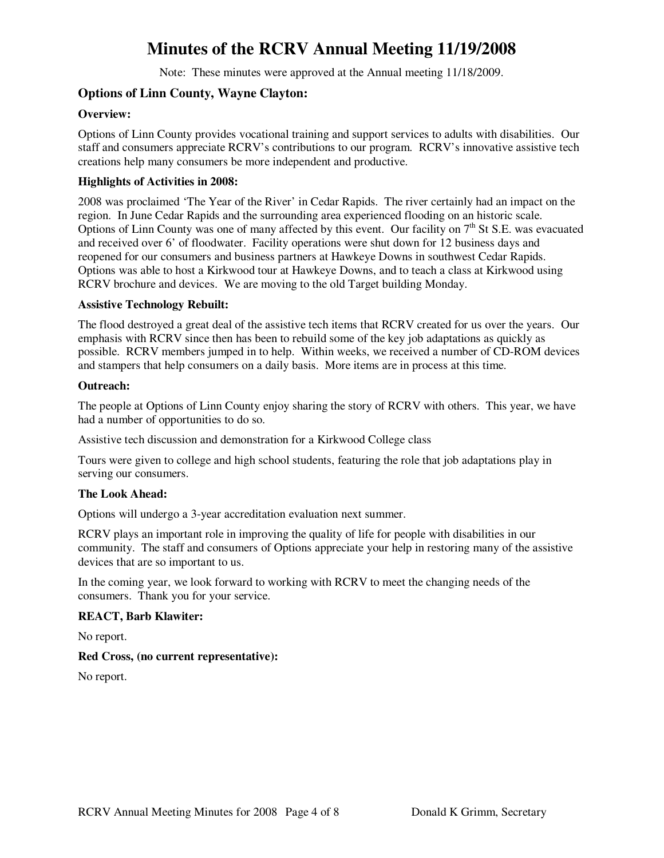Note: These minutes were approved at the Annual meeting 11/18/2009.

### **Options of Linn County, Wayne Clayton:**

### **Overview:**

Options of Linn County provides vocational training and support services to adults with disabilities. Our staff and consumers appreciate RCRV's contributions to our program. RCRV's innovative assistive tech creations help many consumers be more independent and productive.

### **Highlights of Activities in 2008:**

2008 was proclaimed 'The Year of the River' in Cedar Rapids. The river certainly had an impact on the region. In June Cedar Rapids and the surrounding area experienced flooding on an historic scale. Options of Linn County was one of many affected by this event. Our facility on  $7<sup>th</sup>$  St S.E. was evacuated and received over 6' of floodwater. Facility operations were shut down for 12 business days and reopened for our consumers and business partners at Hawkeye Downs in southwest Cedar Rapids. Options was able to host a Kirkwood tour at Hawkeye Downs, and to teach a class at Kirkwood using RCRV brochure and devices. We are moving to the old Target building Monday.

### **Assistive Technology Rebuilt:**

The flood destroyed a great deal of the assistive tech items that RCRV created for us over the years. Our emphasis with RCRV since then has been to rebuild some of the key job adaptations as quickly as possible. RCRV members jumped in to help. Within weeks, we received a number of CD-ROM devices and stampers that help consumers on a daily basis. More items are in process at this time.

#### **Outreach:**

The people at Options of Linn County enjoy sharing the story of RCRV with others. This year, we have had a number of opportunities to do so.

Assistive tech discussion and demonstration for a Kirkwood College class

Tours were given to college and high school students, featuring the role that job adaptations play in serving our consumers.

### **The Look Ahead:**

Options will undergo a 3-year accreditation evaluation next summer.

RCRV plays an important role in improving the quality of life for people with disabilities in our community. The staff and consumers of Options appreciate your help in restoring many of the assistive devices that are so important to us.

In the coming year, we look forward to working with RCRV to meet the changing needs of the consumers. Thank you for your service.

### **REACT, Barb Klawiter:**

No report.

### **Red Cross, (no current representative):**

No report.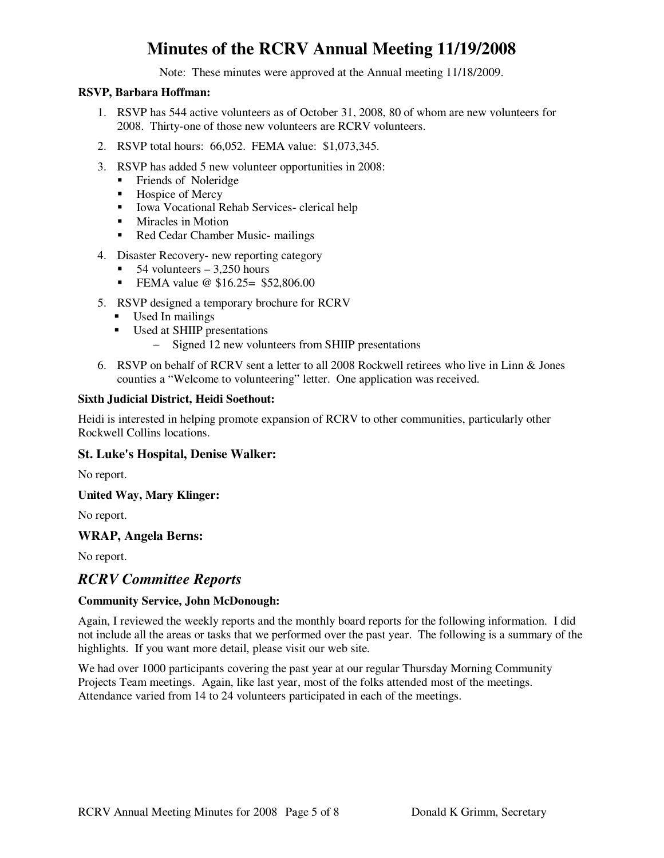Note: These minutes were approved at the Annual meeting 11/18/2009.

### **RSVP, Barbara Hoffman:**

- 1. RSVP has 544 active volunteers as of October 31, 2008, 80 of whom are new volunteers for 2008. Thirty-one of those new volunteers are RCRV volunteers.
- 2. RSVP total hours: 66,052. FEMA value: \$1,073,345.
- 3. RSVP has added 5 new volunteer opportunities in 2008:
	- **Fixaller** Friends of Noleridge
	- Hospice of Mercy
	- **Iowa Vocational Rehab Services- clerical help**
	- **Miracles in Motion**
	- Red Cedar Chamber Music- mailings
- 4. Disaster Recovery- new reporting category
	- $\blacksquare$  54 volunteers 3,250 hours
	- **FEMA** value  $\omega$  \$16.25= \$52,806.00
- 5. RSVP designed a temporary brochure for RCRV
	- Used In mailings
	- Used at SHIIP presentations
		- − Signed 12 new volunteers from SHIIP presentations
- 6. RSVP on behalf of RCRV sent a letter to all 2008 Rockwell retirees who live in Linn & Jones counties a "Welcome to volunteering" letter. One application was received.

### **Sixth Judicial District, Heidi Soethout:**

Heidi is interested in helping promote expansion of RCRV to other communities, particularly other Rockwell Collins locations.

### **St. Luke's Hospital, Denise Walker:**

No report.

### **United Way, Mary Klinger:**

No report.

### **WRAP, Angela Berns:**

No report.

### *RCRV Committee Reports*

### **Community Service, John McDonough:**

Again, I reviewed the weekly reports and the monthly board reports for the following information. I did not include all the areas or tasks that we performed over the past year. The following is a summary of the highlights. If you want more detail, please visit our web site.

We had over 1000 participants covering the past year at our regular Thursday Morning Community Projects Team meetings. Again, like last year, most of the folks attended most of the meetings. Attendance varied from 14 to 24 volunteers participated in each of the meetings.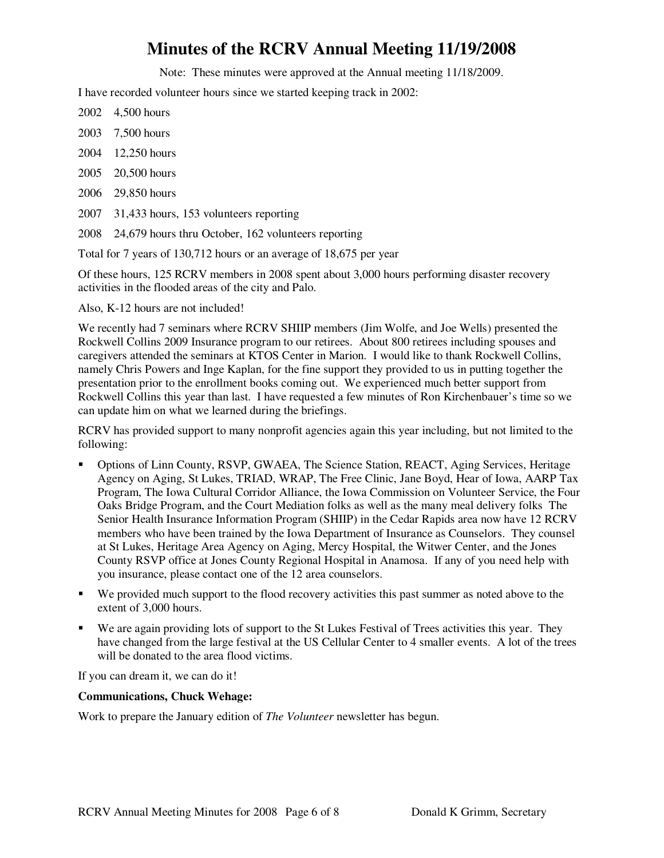Note: These minutes were approved at the Annual meeting 11/18/2009.

I have recorded volunteer hours since we started keeping track in 2002:

- 2002 4,500 hours
- 2003 7,500 hours
- 2004 12,250 hours
- 2005 20,500 hours
- 2006 29,850 hours
- 2007 31,433 hours, 153 volunteers reporting
- 2008 24,679 hours thru October, 162 volunteers reporting

Total for 7 years of 130,712 hours or an average of 18,675 per year

Of these hours, 125 RCRV members in 2008 spent about 3,000 hours performing disaster recovery activities in the flooded areas of the city and Palo.

Also, K-12 hours are not included!

We recently had 7 seminars where RCRV SHIIP members (Jim Wolfe, and Joe Wells) presented the Rockwell Collins 2009 Insurance program to our retirees. About 800 retirees including spouses and caregivers attended the seminars at KTOS Center in Marion. I would like to thank Rockwell Collins, namely Chris Powers and Inge Kaplan, for the fine support they provided to us in putting together the presentation prior to the enrollment books coming out. We experienced much better support from Rockwell Collins this year than last. I have requested a few minutes of Ron Kirchenbauer's time so we can update him on what we learned during the briefings.

RCRV has provided support to many nonprofit agencies again this year including, but not limited to the following:

- Options of Linn County, RSVP, GWAEA, The Science Station, REACT, Aging Services, Heritage Agency on Aging, St Lukes, TRIAD, WRAP, The Free Clinic, Jane Boyd, Hear of Iowa, AARP Tax Program, The Iowa Cultural Corridor Alliance, the Iowa Commission on Volunteer Service, the Four Oaks Bridge Program, and the Court Mediation folks as well as the many meal delivery folks The Senior Health Insurance Information Program (SHIIP) in the Cedar Rapids area now have 12 RCRV members who have been trained by the Iowa Department of Insurance as Counselors. They counsel at St Lukes, Heritage Area Agency on Aging, Mercy Hospital, the Witwer Center, and the Jones County RSVP office at Jones County Regional Hospital in Anamosa. If any of you need help with you insurance, please contact one of the 12 area counselors.
- We provided much support to the flood recovery activities this past summer as noted above to the extent of 3,000 hours.
- We are again providing lots of support to the St Lukes Festival of Trees activities this year. They have changed from the large festival at the US Cellular Center to 4 smaller events. A lot of the trees will be donated to the area flood victims.

If you can dream it, we can do it!

### **Communications, Chuck Wehage:**

Work to prepare the January edition of *The Volunteer* newsletter has begun.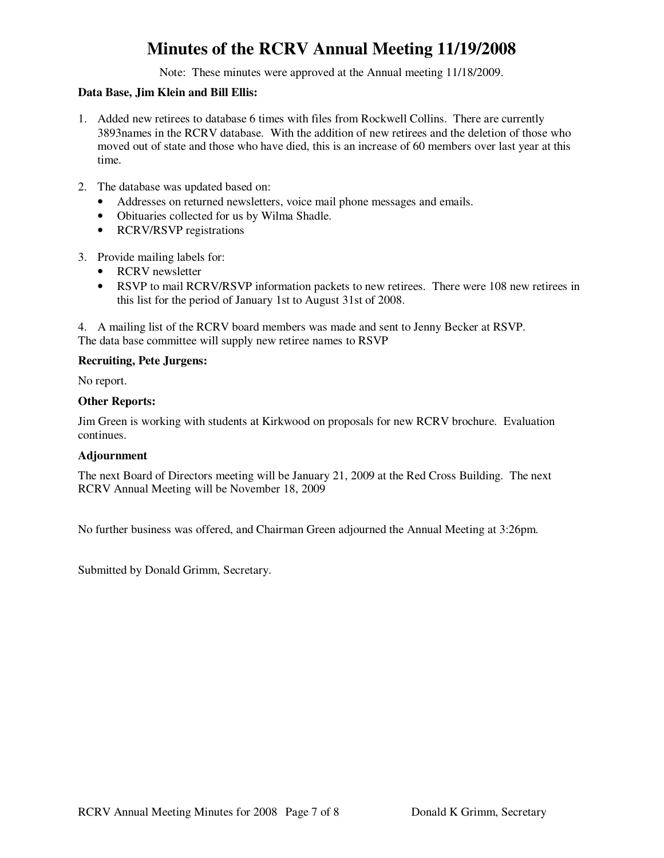Note: These minutes were approved at the Annual meeting 11/18/2009.

### **Data Base, Jim Klein and Bill Ellis:**

- 1. Added new retirees to database 6 times with files from Rockwell Collins. There are currently 3893names in the RCRV database. With the addition of new retirees and the deletion of those who moved out of state and those who have died, this is an increase of 60 members over last year at this time.
- 2. The database was updated based on:
	- Addresses on returned newsletters, voice mail phone messages and emails.
	- Obituaries collected for us by Wilma Shadle.
	- RCRV/RSVP registrations
- 3. Provide mailing labels for:
	- RCRV newsletter
	- RSVP to mail RCRV/RSVP information packets to new retirees. There were 108 new retirees in this list for the period of January 1st to August 31st of 2008.

4. A mailing list of the RCRV board members was made and sent to Jenny Becker at RSVP. The data base committee will supply new retiree names to RSVP

### **Recruiting, Pete Jurgens:**

No report.

### **Other Reports:**

Jim Green is working with students at Kirkwood on proposals for new RCRV brochure. Evaluation continues.

### **Adjournment**

The next Board of Directors meeting will be January 21, 2009 at the Red Cross Building. The next RCRV Annual Meeting will be November 18, 2009

No further business was offered, and Chairman Green adjourned the Annual Meeting at 3:26pm.

Submitted by Donald Grimm, Secretary.